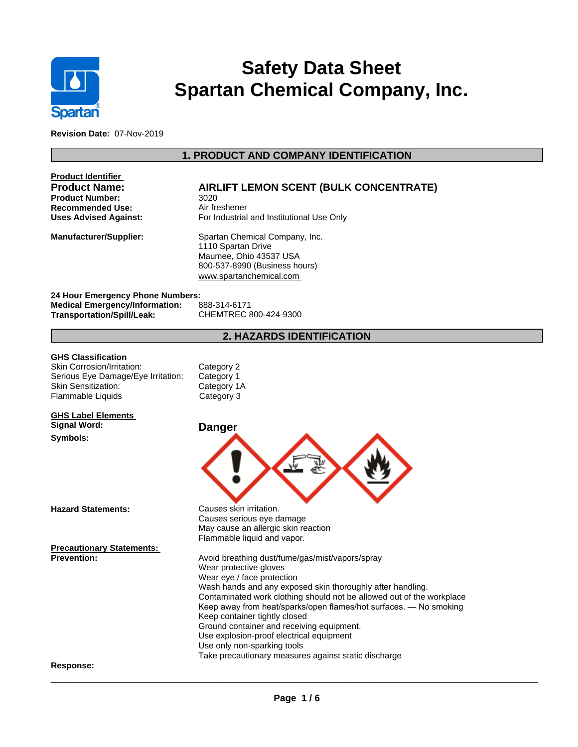

# **Safety Data Sheet Spartan Chemical Company, Inc.**

**Revision Date:** 07-Nov-2019

# **1. PRODUCT AND COMPANY IDENTIFICATION**

| <b>AIRLIFT LEMON SCENT (BULK CONCENTRATE)</b><br>3020<br>Air freshener<br>For Industrial and Institutional Use Only                                                                                                                                                                                                                                                                                                                                                                                                                  |
|--------------------------------------------------------------------------------------------------------------------------------------------------------------------------------------------------------------------------------------------------------------------------------------------------------------------------------------------------------------------------------------------------------------------------------------------------------------------------------------------------------------------------------------|
| Spartan Chemical Company, Inc.<br>1110 Spartan Drive<br>Maumee, Ohio 43537 USA<br>800-537-8990 (Business hours)<br>www.spartanchemical.com                                                                                                                                                                                                                                                                                                                                                                                           |
| 24 Hour Emergency Phone Numbers:<br>888-314-6171<br>CHEMTREC 800-424-9300                                                                                                                                                                                                                                                                                                                                                                                                                                                            |
| <b>2. HAZARDS IDENTIFICATION</b>                                                                                                                                                                                                                                                                                                                                                                                                                                                                                                     |
| Category 2<br>Category 1<br>Category 1A<br>Category 3                                                                                                                                                                                                                                                                                                                                                                                                                                                                                |
|                                                                                                                                                                                                                                                                                                                                                                                                                                                                                                                                      |
| <b>Danger</b>                                                                                                                                                                                                                                                                                                                                                                                                                                                                                                                        |
|                                                                                                                                                                                                                                                                                                                                                                                                                                                                                                                                      |
| Causes skin irritation.<br>Causes serious eye damage<br>May cause an allergic skin reaction<br>Flammable liquid and vapor.                                                                                                                                                                                                                                                                                                                                                                                                           |
|                                                                                                                                                                                                                                                                                                                                                                                                                                                                                                                                      |
| Avoid breathing dust/fume/gas/mist/vapors/spray<br>Wear protective gloves<br>Wear eye / face protection<br>Wash hands and any exposed skin thoroughly after handling.<br>Contaminated work clothing should not be allowed out of the workplace<br>Keep away from heat/sparks/open flames/hot surfaces. - No smoking<br>Keep container tightly closed<br>Ground container and receiving equipment.<br>Use explosion-proof electrical equipment<br>Use only non-sparking tools<br>Take precautionary measures against static discharge |
|                                                                                                                                                                                                                                                                                                                                                                                                                                                                                                                                      |
|                                                                                                                                                                                                                                                                                                                                                                                                                                                                                                                                      |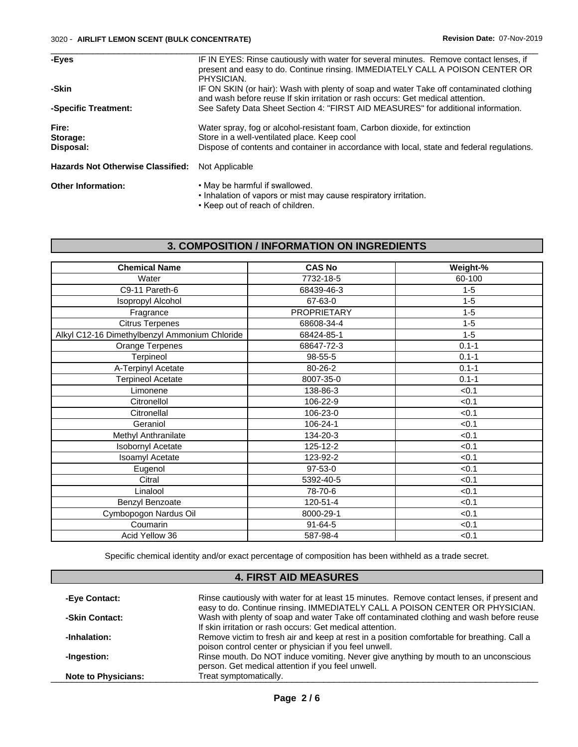| -Eyes                                    | IF IN EYES: Rinse cautiously with water for several minutes. Remove contact lenses, if<br>present and easy to do. Continue rinsing. IMMEDIATELY CALL A POISON CENTER OR<br>PHYSICIAN.                                   |
|------------------------------------------|-------------------------------------------------------------------------------------------------------------------------------------------------------------------------------------------------------------------------|
| -Skin                                    | IF ON SKIN (or hair): Wash with plenty of soap and water Take off contaminated clothing<br>and wash before reuse If skin irritation or rash occurs: Get medical attention.                                              |
| -Specific Treatment:                     | See Safety Data Sheet Section 4: "FIRST AID MEASURES" for additional information.                                                                                                                                       |
| Fire:<br>Storage:<br>Disposal:           | Water spray, fog or alcohol-resistant foam, Carbon dioxide, for extinction<br>Store in a well-ventilated place. Keep cool<br>Dispose of contents and container in accordance with local, state and federal regulations. |
| <b>Hazards Not Otherwise Classified:</b> | Not Applicable                                                                                                                                                                                                          |
| <b>Other Information:</b>                | • May be harmful if swallowed.                                                                                                                                                                                          |

• Inhalation of vapors or mist may cause respiratory irritation.

• Keep out of reach of children.

# **3. COMPOSITION / INFORMATION ON INGREDIENTS**

| <b>Chemical Name</b>                          | <b>CAS No</b>      | Weight-%  |
|-----------------------------------------------|--------------------|-----------|
| Water                                         | 7732-18-5          | 60-100    |
| C9-11 Pareth-6                                | 68439-46-3         | $1 - 5$   |
| <b>Isopropyl Alcohol</b>                      | 67-63-0            | $1 - 5$   |
| Fragrance                                     | <b>PROPRIETARY</b> | $1 - 5$   |
| <b>Citrus Terpenes</b>                        | 68608-34-4         | $1 - 5$   |
| Alkyl C12-16 Dimethylbenzyl Ammonium Chloride | 68424-85-1         | $1 - 5$   |
| Orange Terpenes                               | 68647-72-3         | $0.1 - 1$ |
| Terpineol                                     | 98-55-5            | $0.1 - 1$ |
| A-Terpinyl Acetate                            | 80-26-2            | $0.1 - 1$ |
| <b>Terpineol Acetate</b>                      | 8007-35-0          | $0.1 - 1$ |
| Limonene                                      | 138-86-3           | < 0.1     |
| Citronellol                                   | 106-22-9           | < 0.1     |
| Citronellal                                   | 106-23-0           | < 0.1     |
| Geraniol                                      | 106-24-1           | < 0.1     |
| Methyl Anthranilate                           | 134-20-3           | < 0.1     |
| <b>Isobornyl Acetate</b>                      | 125-12-2           | < 0.1     |
| Isoamyl Acetate                               | 123-92-2           | < 0.1     |
| Eugenol                                       | 97-53-0            | < 0.1     |
| Citral                                        | 5392-40-5          | < 0.1     |
| Linalool                                      | 78-70-6            | < 0.1     |
| Benzyl Benzoate                               | 120-51-4           | < 0.1     |
| Cymbopogon Nardus Oil                         | 8000-29-1          | < 0.1     |
| Coumarin                                      | $91 - 64 - 5$      | < 0.1     |
| Acid Yellow 36                                | 587-98-4           | < 0.1     |
|                                               |                    |           |

Specific chemical identity and/or exact percentage of composition has been withheld as a trade secret.

## **4. FIRST AID MEASURES**

| -Eye Contact:              | Rinse cautiously with water for at least 15 minutes. Remove contact lenses, if present and<br>easy to do. Continue rinsing. IMMEDIATELY CALL A POISON CENTER OR PHYSICIAN. |
|----------------------------|----------------------------------------------------------------------------------------------------------------------------------------------------------------------------|
| -Skin Contact:             | Wash with plenty of soap and water Take off contaminated clothing and wash before reuse                                                                                    |
|                            | If skin irritation or rash occurs: Get medical attention.                                                                                                                  |
| -Inhalation:               | Remove victim to fresh air and keep at rest in a position comfortable for breathing. Call a<br>poison control center or physician if you feel unwell.                      |
| -Ingestion:                | Rinse mouth. Do NOT induce vomiting. Never give anything by mouth to an unconscious<br>person. Get medical attention if you feel unwell.                                   |
| <b>Note to Physicians:</b> | Treat symptomatically.                                                                                                                                                     |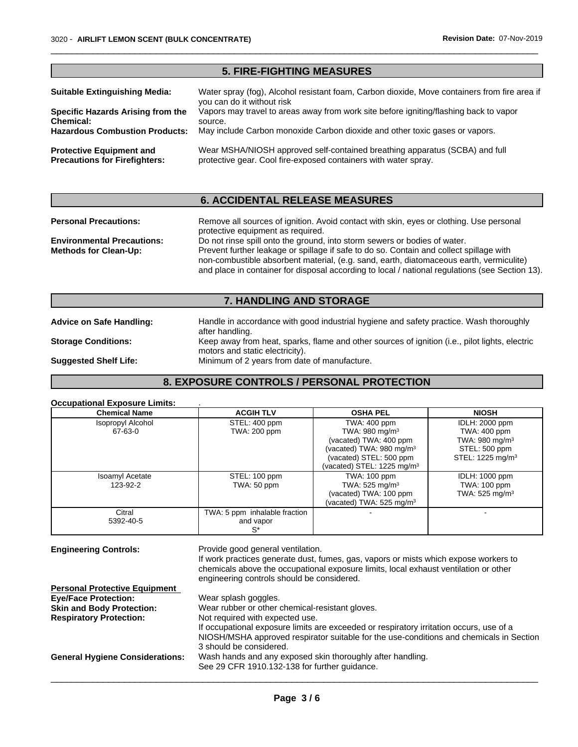|                                                                         | <b>5. FIRE-FIGHTING MEASURES</b>                                                                                                               |
|-------------------------------------------------------------------------|------------------------------------------------------------------------------------------------------------------------------------------------|
| <b>Suitable Extinguishing Media:</b>                                    | Water spray (fog), Alcohol resistant foam, Carbon dioxide, Move containers from fire area if<br>you can do it without risk                     |
| Specific Hazards Arising from the<br>Chemical:                          | Vapors may travel to areas away from work site before igniting/flashing back to vapor<br>source.                                               |
| <b>Hazardous Combustion Products:</b>                                   | May include Carbon monoxide Carbon dioxide and other toxic gases or vapors.                                                                    |
| <b>Protective Equipment and</b><br><b>Precautions for Firefighters:</b> | Wear MSHA/NIOSH approved self-contained breathing apparatus (SCBA) and full<br>protective gear. Cool fire-exposed containers with water spray. |

 $\overline{\phantom{a}}$  ,  $\overline{\phantom{a}}$  ,  $\overline{\phantom{a}}$  ,  $\overline{\phantom{a}}$  ,  $\overline{\phantom{a}}$  ,  $\overline{\phantom{a}}$  ,  $\overline{\phantom{a}}$  ,  $\overline{\phantom{a}}$  ,  $\overline{\phantom{a}}$  ,  $\overline{\phantom{a}}$  ,  $\overline{\phantom{a}}$  ,  $\overline{\phantom{a}}$  ,  $\overline{\phantom{a}}$  ,  $\overline{\phantom{a}}$  ,  $\overline{\phantom{a}}$  ,  $\overline{\phantom{a}}$ 

## **6. ACCIDENTAL RELEASE MEASURES**

| <b>Personal Precautions:</b>                                      | Remove all sources of ignition. Avoid contact with skin, eyes or clothing. Use personal<br>protective equipment as required.                                                                                                                                                                                                                                       |
|-------------------------------------------------------------------|--------------------------------------------------------------------------------------------------------------------------------------------------------------------------------------------------------------------------------------------------------------------------------------------------------------------------------------------------------------------|
| <b>Environmental Precautions:</b><br><b>Methods for Clean-Up:</b> | Do not rinse spill onto the ground, into storm sewers or bodies of water.<br>Prevent further leakage or spillage if safe to do so. Contain and collect spillage with<br>non-combustible absorbent material, (e.g. sand, earth, diatomaceous earth, vermiculite)<br>and place in container for disposal according to local / national regulations (see Section 13). |

## **7. HANDLING AND STORAGE**

after handling.

motors and static electricity).

**Advice on Safe Handling:** Handle in accordance with good industrial hygiene and safety practice. Wash thoroughly

**Storage Conditions:** Keep away from heat, sparks, flame and other sources of ignition (i.e., pilot lights, electric

**Suggested Shelf Life:** Minimum of 2 years from date of manufacture.

## **8. EXPOSURE CONTROLS / PERSONAL PROTECTION**

#### **Occupational Exposure Limits:** .

| <b>Chemical Name</b>               | <b>ACGIH TLV</b>                                    | <b>OSHA PEL</b>                                                                                             | <b>NIOSH</b>                                                        |
|------------------------------------|-----------------------------------------------------|-------------------------------------------------------------------------------------------------------------|---------------------------------------------------------------------|
| Isopropyl Alcohol                  | STEL: 400 ppm                                       | TWA: 400 ppm                                                                                                | IDLH: 2000 ppm                                                      |
| 67-63-0                            | TWA: 200 ppm                                        | TWA: 980 mg/m $3$<br>(vacated) TWA: 400 ppm                                                                 | TWA: 400 ppm<br>TWA: 980 mg/m $3$                                   |
|                                    |                                                     | (vacated) TWA: 980 mg/m <sup>3</sup><br>(vacated) STEL: 500 ppm<br>(vacated) STEL: 1225 mg/m <sup>3</sup>   | STEL: 500 ppm<br>STEL: 1225 mg/m <sup>3</sup>                       |
| <b>Isoamyl Acetate</b><br>123-92-2 | STEL: 100 ppm<br>TWA: 50 ppm                        | TWA: 100 ppm<br>TWA: $525 \text{ mg/m}^3$<br>(vacated) TWA: 100 ppm<br>(vacated) TWA: 525 mg/m <sup>3</sup> | <b>IDLH: 1000 ppm</b><br>TWA: 100 ppm<br>TWA: 525 mg/m <sup>3</sup> |
| Citral<br>5392-40-5                | TWA: 5 ppm inhalable fraction<br>and vapor<br>$S^*$ |                                                                                                             |                                                                     |

**Engineering Controls:** Provide good general ventilation.

If work practices generate dust, fumes, gas, vapors or mists which expose workers to chemicals above the occupational exposure limits, local exhaust ventilation or other engineering controls should be considered.

| <b>Personal Protective Equipment</b>   |                                                                                         |
|----------------------------------------|-----------------------------------------------------------------------------------------|
| <b>Eve/Face Protection:</b>            | Wear splash goggles.                                                                    |
| <b>Skin and Body Protection:</b>       | Wear rubber or other chemical-resistant gloves.                                         |
| <b>Respiratory Protection:</b>         | Not required with expected use.                                                         |
|                                        | If occupational exposure limits are exceeded or respiratory irritation occurs, use of a |
|                                        | NIOSH/MSHA approved respirator suitable for the use-conditions and chemicals in Section |
|                                        | 3 should be considered.                                                                 |
| <b>General Hygiene Considerations:</b> | Wash hands and any exposed skin thoroughly after handling.                              |
|                                        | See 29 CFR 1910.132-138 for further guidance.                                           |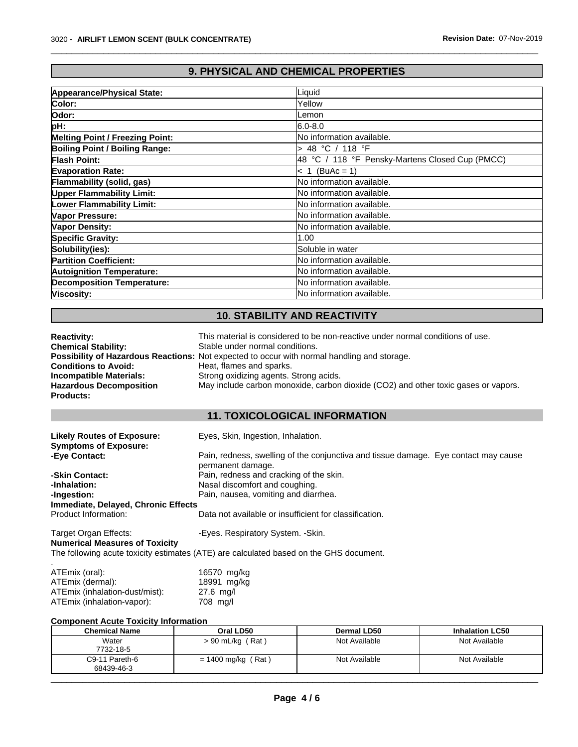# **9. PHYSICAL AND CHEMICAL PROPERTIES**

 $\overline{\phantom{a}}$  ,  $\overline{\phantom{a}}$  ,  $\overline{\phantom{a}}$  ,  $\overline{\phantom{a}}$  ,  $\overline{\phantom{a}}$  ,  $\overline{\phantom{a}}$  ,  $\overline{\phantom{a}}$  ,  $\overline{\phantom{a}}$  ,  $\overline{\phantom{a}}$  ,  $\overline{\phantom{a}}$  ,  $\overline{\phantom{a}}$  ,  $\overline{\phantom{a}}$  ,  $\overline{\phantom{a}}$  ,  $\overline{\phantom{a}}$  ,  $\overline{\phantom{a}}$  ,  $\overline{\phantom{a}}$ 

| Appearance/Physical State:             | ∟iquid                                          |
|----------------------------------------|-------------------------------------------------|
| Color:                                 | Yellow                                          |
| lOdor:                                 | _emon                                           |
| pH:                                    | l6.0-8.0                                        |
| <b>Melting Point / Freezing Point:</b> | lNo information available.                      |
| Boiling Point / Boiling Range:         | > 48 °C / 118 °F                                |
| Flash Point:                           | 48 °C / 118 °F Pensky-Martens Closed Cup (PMCC) |
| <b>Evaporation Rate:</b>               | $\leq 1$ (BuAc = 1)                             |
| Flammability (solid, gas)              | <b>No information available.</b>                |
| <b>Upper Flammability Limit:</b>       | No information available.                       |
| <b>Lower Flammability Limit:</b>       | lNo information available.                      |
| Vapor Pressure:                        | lNo information available.                      |
| Vapor Density:                         | <b>No information available.</b>                |
| <b>Specific Gravity:</b>               | 1.00                                            |
| Solubility(ies):                       | Soluble in water                                |
| <b>Partition Coefficient:</b>          | lNo information available.                      |
| <b>Autoignition Temperature:</b>       | <b>No information available.</b>                |
| <b>Decomposition Temperature:</b>      | No information available.                       |
| Viscosity:                             | lNo information available.                      |
|                                        |                                                 |

## **10. STABILITY AND REACTIVITY**

| <b>Reactivity:</b>                                                | This material is considered to be non-reactive under normal conditions of use.                                                        |
|-------------------------------------------------------------------|---------------------------------------------------------------------------------------------------------------------------------------|
| <b>Chemical Stability:</b>                                        | Stable under normal conditions.<br><b>Possibility of Hazardous Reactions:</b> Not expected to occur with normal handling and storage. |
| <b>Conditions to Avoid:</b>                                       | Heat, flames and sparks.                                                                                                              |
| <b>Incompatible Materials:</b>                                    | Strong oxidizing agents. Strong acids.                                                                                                |
| <b>Hazardous Decomposition</b><br><b>Products:</b>                | May include carbon monoxide, carbon dioxide (CO2) and other toxic gases or vapors.                                                    |
|                                                                   | <b>11. TOXICOLOGICAL INFORMATION</b>                                                                                                  |
| <b>Likely Routes of Exposure:</b><br><b>Symptoms of Exposure:</b> | Eyes, Skin, Ingestion, Inhalation.                                                                                                    |
| -Eye Contact:                                                     | Pain, redness, swelling of the conjunctiva and tissue damage. Eye contact may cause<br>permanent damage.                              |
| -Skin Contact:                                                    | Pain, redness and cracking of the skin.                                                                                               |
| -Inhalation:                                                      | Nasal discomfort and coughing.                                                                                                        |
| -Ingestion:                                                       | Pain, nausea, vomiting and diarrhea.                                                                                                  |
| Immediate, Delayed, Chronic Effects                               |                                                                                                                                       |
| Product Information:                                              | Data not available or insufficient for classification.                                                                                |
| Target Organ Effects:                                             | -Eyes. Respiratory System. - Skin.                                                                                                    |
| <b>Numerical Measures of Toxicity</b>                             |                                                                                                                                       |
|                                                                   | The following acute toxicity estimates (ATE) are calculated based on the GHS document.                                                |

| ATEmix (oral):                 | 16570 mg/kg |
|--------------------------------|-------------|
| ATEmix (dermal):               | 18991 mg/kg |
| ATEmix (inhalation-dust/mist): | $27.6$ mg/l |
| ATEmix (inhalation-vapor):     | 708 mg/l    |

#### **Component Acute Toxicity Information**

| <b>Chemical Name</b>         | Oral LD50            | Dermal LD50   | <b>Inhalation LC50</b> |
|------------------------------|----------------------|---------------|------------------------|
| Water                        | $> 90$ mL/kg (Rat)   | Not Available | Not Available          |
| 7732-18-5                    |                      |               |                        |
| C9-11 Pareth-6<br>68439-46-3 | $= 1400$ mg/kg (Rat) | Not Available | Not Available          |
|                              |                      |               |                        |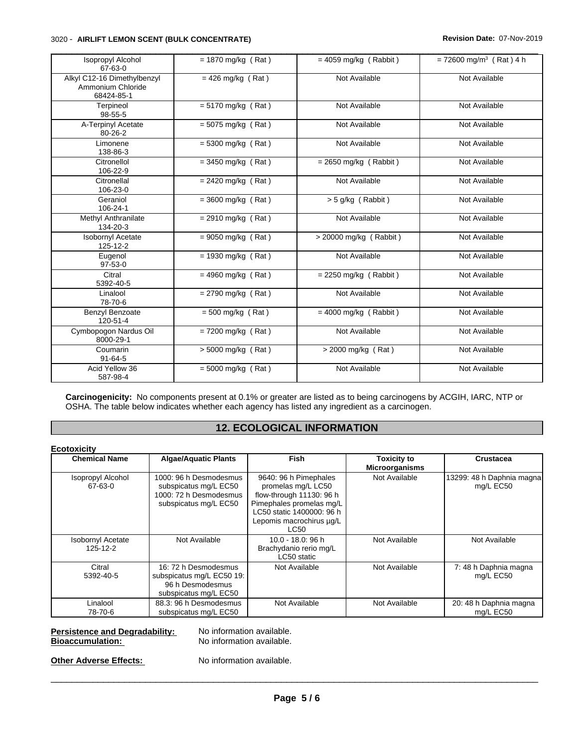#### 3020 - **AIRLIFT LEMON SCENT (BULK CONCENTRATE) Revision Date:** 07-Nov-2019

| Isopropyl Alcohol<br>67-63-0                                   | $= 1870$ mg/kg (Rat) | $= 4059$ mg/kg (Rabbit)  | $= 72600$ mg/m <sup>3</sup> (Rat) 4 h |
|----------------------------------------------------------------|----------------------|--------------------------|---------------------------------------|
| Alkyl C12-16 Dimethylbenzyl<br>Ammonium Chloride<br>68424-85-1 | $= 426$ mg/kg (Rat)  | Not Available            | Not Available                         |
| Terpineol<br>98-55-5                                           | $= 5170$ mg/kg (Rat) | Not Available            | Not Available                         |
| A-Terpinyl Acetate<br>$80 - 26 - 2$                            | $= 5075$ mg/kg (Rat) | Not Available            | Not Available                         |
| Limonene<br>138-86-3                                           | $= 5300$ mg/kg (Rat) | Not Available            | Not Available                         |
| Citronellol<br>106-22-9                                        | $=$ 3450 mg/kg (Rat) | $= 2650$ mg/kg (Rabbit)  | Not Available                         |
| Citronellal<br>106-23-0                                        | $= 2420$ mg/kg (Rat) | Not Available            | Not Available                         |
| Geraniol<br>106-24-1                                           | $=$ 3600 mg/kg (Rat) | > 5 g/kg (Rabbit)        | Not Available                         |
| Methyl Anthranilate<br>134-20-3                                | $= 2910$ mg/kg (Rat) | Not Available            | Not Available                         |
| <b>Isobornyl Acetate</b><br>125-12-2                           | $= 9050$ mg/kg (Rat) | $>$ 20000 mg/kg (Rabbit) | Not Available                         |
| Eugenol<br>$97-53-0$                                           | $= 1930$ mg/kg (Rat) | Not Available            | Not Available                         |
| Citral<br>5392-40-5                                            | $= 4960$ mg/kg (Rat) | $= 2250$ mg/kg (Rabbit)  | Not Available                         |
| Linalool<br>78-70-6                                            | $= 2790$ mg/kg (Rat) | Not Available            | Not Available                         |
| Benzyl Benzoate<br>120-51-4                                    | $= 500$ mg/kg (Rat)  | $= 4000$ mg/kg (Rabbit)  | Not Available                         |
| Cymbopogon Nardus Oil<br>8000-29-1                             | $= 7200$ mg/kg (Rat) | Not Available            | Not Available                         |
| Coumarin<br>$91 - 64 - 5$                                      | $> 5000$ mg/kg (Rat) | $>$ 2000 mg/kg (Rat)     | Not Available                         |
| Acid Yellow 36<br>587-98-4                                     | $= 5000$ mg/kg (Rat) | Not Available            | Not Available                         |

**Carcinogenicity:** No components present at 0.1% or greater are listed as to being carcinogens by ACGIH, IARC, NTP or OSHA. The table below indicates whether each agency has listed any ingredient as a carcinogen.

## **12. ECOLOGICAL INFORMATION**

#### **Ecotoxicity**

| <b>Chemical Name</b>                 | <b>Algae/Aquatic Plants</b>                                                                        | Fish                                                                                                                                                                 | <b>Toxicity to</b><br><b>Microorganisms</b> | Crustacea                              |
|--------------------------------------|----------------------------------------------------------------------------------------------------|----------------------------------------------------------------------------------------------------------------------------------------------------------------------|---------------------------------------------|----------------------------------------|
| <b>Isopropyl Alcohol</b><br>67-63-0  | 1000: 96 h Desmodesmus<br>subspicatus mg/L EC50<br>1000: 72 h Desmodesmus<br>subspicatus mg/L EC50 | 9640: 96 h Pimephales<br>promelas mg/L LC50<br>flow-through 11130: 96 h<br>Pimephales promelas mg/L<br>LC50 static 1400000: 96 h<br>Lepomis macrochirus µg/L<br>LC50 | Not Available                               | 13299: 48 h Daphnia magna<br>mg/L EC50 |
| <b>Isobornyl Acetate</b><br>125-12-2 | Not Available                                                                                      | 10.0 - 18.0: 96 h<br>Brachydanio rerio mg/L<br>LC50 static                                                                                                           | Not Available                               | Not Available                          |
| Citral<br>5392-40-5                  | 16: 72 h Desmodesmus<br>subspicatus mg/L EC50 19:<br>96 h Desmodesmus<br>subspicatus mg/L EC50     | Not Available                                                                                                                                                        | Not Available                               | 7: 48 h Daphnia magna<br>mg/L EC50     |
| Linalool<br>78-70-6                  | 88.3: 96 h Desmodesmus<br>subspicatus mg/L EC50                                                    | Not Available                                                                                                                                                        | Not Available                               | 20: 48 h Daphnia magna<br>mg/L EC50    |

# **Persistence and Degradability:** No information available.<br> **Bioaccumulation:** No information available.

**No information available.** 

**Other Adverse Effects:** No information available.